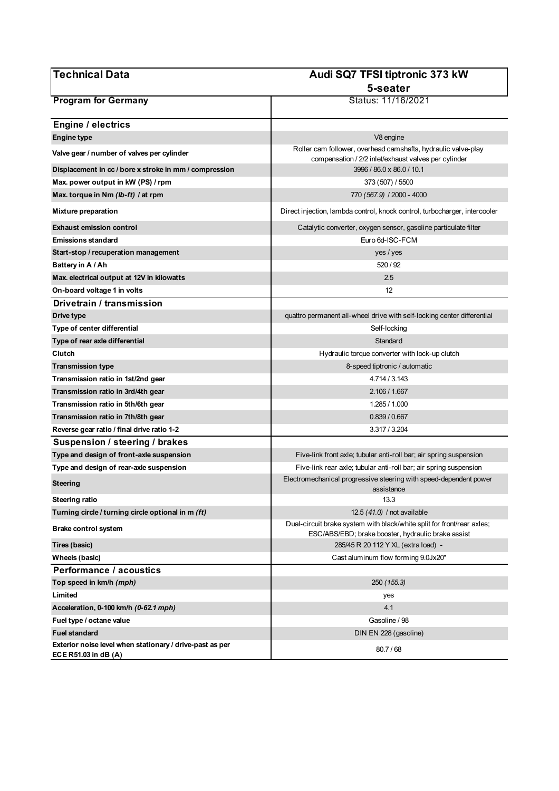| <b>Technical Data</b>                                                            | Audi SQ7 TFSI tiptronic 373 kW                                                                                               |
|----------------------------------------------------------------------------------|------------------------------------------------------------------------------------------------------------------------------|
|                                                                                  | 5-seater                                                                                                                     |
| <b>Program for Germany</b>                                                       | Status: 11/16/2021                                                                                                           |
| <b>Engine / electrics</b>                                                        |                                                                                                                              |
| <b>Engine type</b>                                                               | V8 engine                                                                                                                    |
| Valve gear / number of valves per cylinder                                       | Roller cam follower, overhead camshafts, hydraulic valve-play<br>compensation / 2/2 inlet/exhaust valves per cylinder        |
| Displacement in cc / bore x stroke in mm / compression                           | 3996 / 86.0 x 86.0 / 10.1                                                                                                    |
| Max. power output in kW (PS) / rpm                                               | 373 (507) / 5500                                                                                                             |
| Max. torque in Nm (lb-ft) / at rpm                                               | 770 (567.9) / 2000 - 4000                                                                                                    |
| <b>Mixture preparation</b>                                                       | Direct injection, lambda control, knock control, turbocharger, intercooler                                                   |
| <b>Exhaust emission control</b>                                                  | Catalytic converter, oxygen sensor, gasoline particulate filter                                                              |
| <b>Emissions standard</b>                                                        | Euro 6d-ISC-FCM                                                                                                              |
| Start-stop / recuperation management                                             | yes / yes                                                                                                                    |
| Battery in A / Ah                                                                | 520 / 92                                                                                                                     |
| Max. electrical output at 12V in kilowatts                                       | 2.5                                                                                                                          |
| On-board voltage 1 in volts                                                      | 12                                                                                                                           |
| Drivetrain / transmission                                                        |                                                                                                                              |
| Drive type                                                                       | quattro permanent all-wheel drive with self-locking center differential                                                      |
| Type of center differential                                                      | Self-locking                                                                                                                 |
| Type of rear axle differential                                                   | Standard                                                                                                                     |
| Clutch                                                                           | Hydraulic torque converter with lock-up clutch                                                                               |
| <b>Transmission type</b><br>Transmission ratio in 1st/2nd gear                   | 8-speed tiptronic / automatic<br>4.714 / 3.143                                                                               |
| Transmission ratio in 3rd/4th gear                                               | 2.106 / 1.667                                                                                                                |
| Transmission ratio in 5th/6th gear                                               | 1.285 / 1.000                                                                                                                |
| Transmission ratio in 7th/8th gear                                               | 0.839 / 0.667                                                                                                                |
| Reverse gear ratio / final drive ratio 1-2                                       | 3.317/3.204                                                                                                                  |
| Suspension / steering / brakes                                                   |                                                                                                                              |
| Type and design of front-axle suspension                                         | Five-link front axle; tubular anti-roll bar; air spring suspension                                                           |
| Type and design of rear-axle suspension                                          | Five-link rear axle; tubular anti-roll bar; air spring suspension                                                            |
| Steering                                                                         | Electromechanical progressive steering with speed-dependent power                                                            |
| Steering ratio                                                                   | assistance<br>13.3                                                                                                           |
| Turning circle / turning circle optional in m (ft)                               | 12.5 (41.0) / not available                                                                                                  |
| <b>Brake control system</b>                                                      | Dual-circuit brake system with black/white split for front/rear axles;<br>ESC/ABS/EBD; brake booster, hydraulic brake assist |
| Tires (basic)                                                                    | 285/45 R 20 112 Y XL (extra load) -                                                                                          |
| Wheels (basic)                                                                   | Cast aluminum flow forming 9.0Jx20"                                                                                          |
| Performance / acoustics                                                          |                                                                                                                              |
| Top speed in km/h (mph)                                                          | 250 (155.3)                                                                                                                  |
| Limited                                                                          | yes                                                                                                                          |
| Acceleration, 0-100 km/h (0-62.1 mph)                                            | 4.1                                                                                                                          |
| Fuel type / octane value                                                         | Gasoline / 98                                                                                                                |
| <b>Fuel standard</b>                                                             | DIN EN 228 (gasoline)                                                                                                        |
| Exterior noise level when stationary / drive-past as per<br>ECE R51.03 in dB (A) | 80.7/68                                                                                                                      |